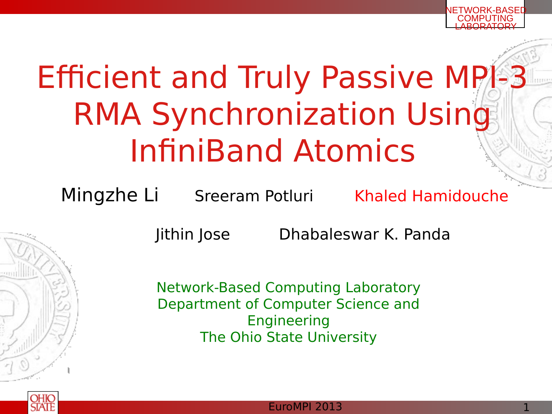# Efficient and Truly Passive MPI-3 RMA Synchronization Using InfiniBand Atomics

Mingzhe Li Sreeram Potluri Khaled Hamidouche

Jithin Jose Dhabaleswar K. Panda

Network-Based Computing Laboratory Department of Computer Science and Engineering The Ohio State University



NETWORK-BASED **COMPUTING** LABORATORY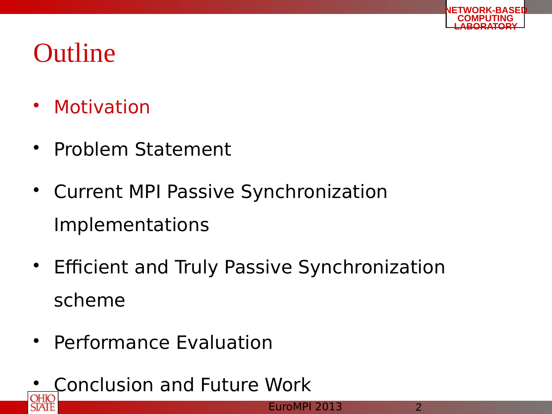- Motivation
- Problem Statement
- Current MPI Passive Synchronization Implementations
- Efficient and Truly Passive Synchronization scheme
- Performance Evaluation
- Conclusion and Future Work

**NETWORK-BASED COMPUTING LABORATORY**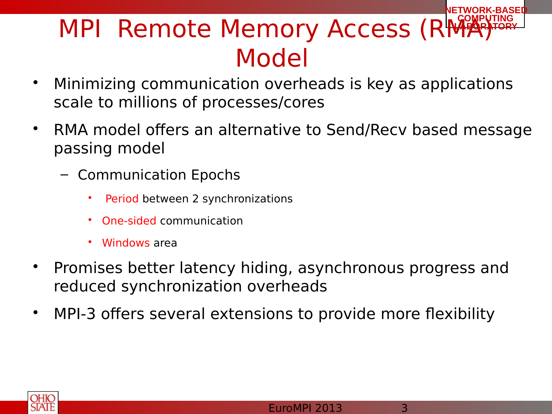#### **NETWORK-BASED MPI Remote Memory Access (RMA)** Model

- Minimizing communication overheads is key as applications scale to millions of processes/cores
- RMA model offers an alternative to Send/Recv based message passing model
	- Communication Epochs
		- Period between 2 synchronizations
		- One-sided communication
		- Windows area
- Promises better latency hiding, asynchronous progress and reduced synchronization overheads
- MPI-3 offers several extensions to provide more flexibility

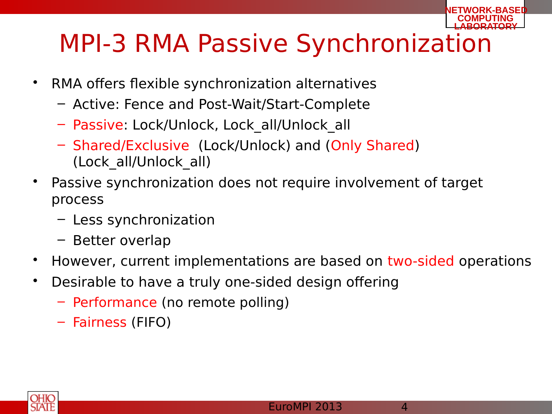#### **LABORATORY** MPI-3 RMA Passive Synchronization

- RMA offers flexible synchronization alternatives
	- Active: Fence and Post-Wait/Start-Complete
	- Passive: Lock/Unlock, Lock\_all/Unlock\_all
	- Shared/Exclusive (Lock/Unlock) and (Only Shared) (Lock\_all/Unlock\_all)
- Passive synchronization does not require involvement of target process
	- Less synchronization
	- Better overlap
- However, current implementations are based on two-sided operations
- Desirable to have a truly one-sided design offering
	- Performance (no remote polling)
	- Fairness (FIFO)



**NETWORK-BASED COMPUTING**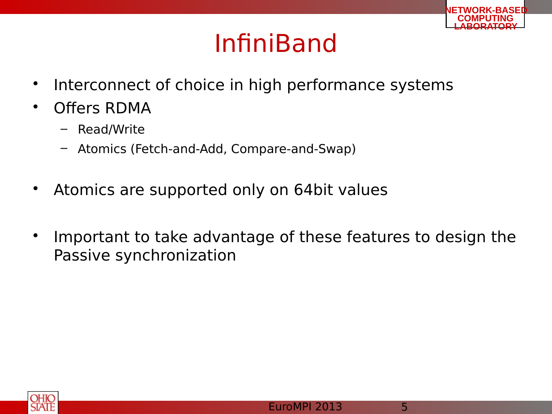### InfiniBand

- Interconnect of choice in high performance systems
- Offers RDMA
	- Read/Write
	- Atomics (Fetch-and-Add, Compare-and-Swap)
- Atomics are supported only on 64bit values
- Important to take advantage of these features to design the Passive synchronization



**NETWORK-BASED COMPUTING LABORATORY**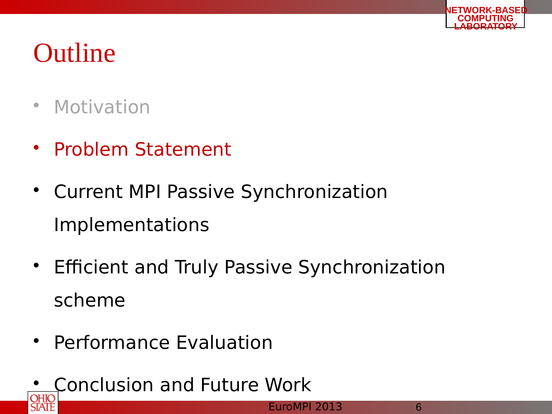

- Motivation
- Problem Statement
- Current MPI Passive Synchronization Implementations
- Efficient and Truly Passive Synchronization scheme
- Performance Evaluation
- Conclusion and Future Work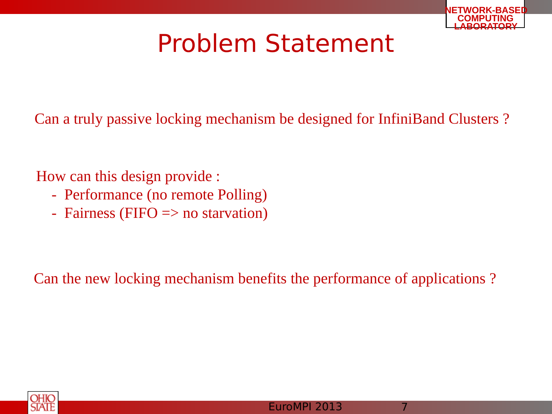

### Problem Statement

Can a truly passive locking mechanism be designed for InfiniBand Clusters ?

How can this design provide :

- Performance (no remote Polling)
- Fairness (FIFO  $\Rightarrow$  no starvation)

Can the new locking mechanism benefits the performance of applications ?

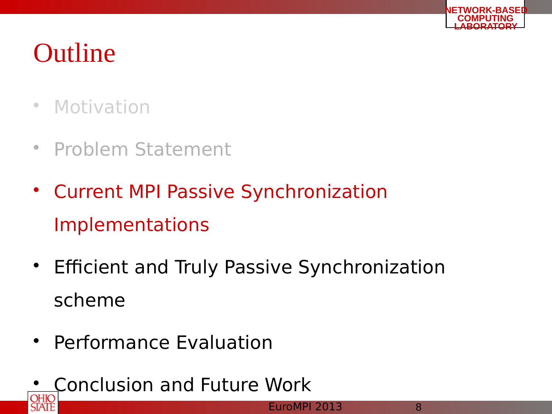

- Motivation
- Problem Statement
- Current MPI Passive Synchronization Implementations
- Efficient and Truly Passive Synchronization scheme
- Performance Evaluation
- Conclusion and Future Work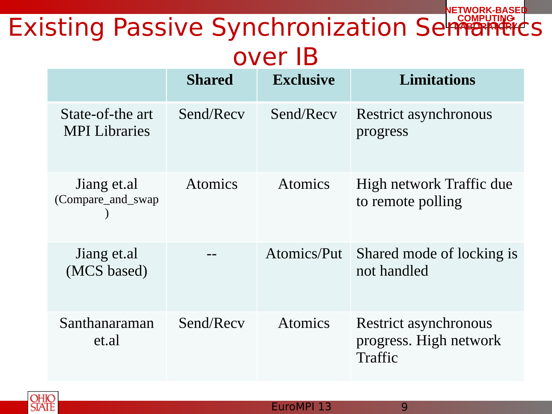#### **NETWORK-BASED** Existing Passive Synchronization SemPuting Ls over IB

|                                          | <b>Shared</b>  | <b>Exclusive</b> | <b>Limitations</b>                                                |
|------------------------------------------|----------------|------------------|-------------------------------------------------------------------|
| State-of-the art<br><b>MPI</b> Libraries | Send/Recv      | Send/Recv        | Restrict asynchronous<br>progress                                 |
| Jiang et.al<br>(Compare_and_swap         | <b>Atomics</b> | <b>Atomics</b>   | High network Traffic due<br>to remote polling                     |
| Jiang et.al<br>(MCS based)               |                | Atomics/Put      | Shared mode of locking is<br>not handled                          |
| Santhanaraman<br>et.al                   | Send/Recv      | <b>Atomics</b>   | <b>Restrict asynchronous</b><br>progress. High network<br>Traffic |

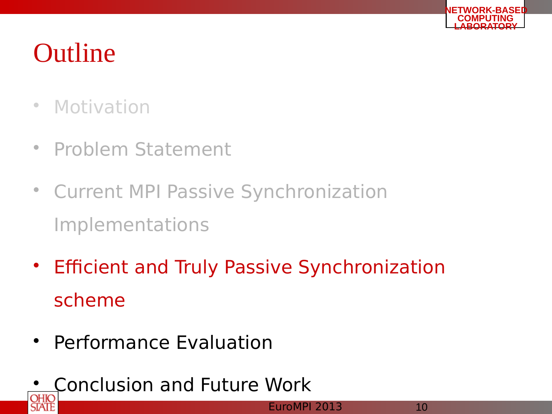

- Motivation
- Problem Statement
- Current MPI Passive Synchronization Implementations
- Efficient and Truly Passive Synchronization scheme
- Performance Evaluation
- Conclusion and Future Work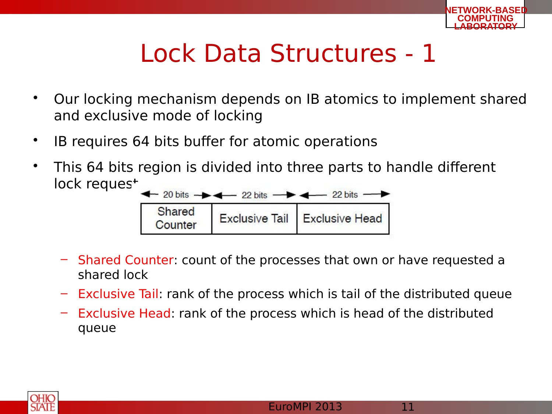

### Lock Data Structures - 1

- Our locking mechanism depends on IB atomics to implement shared and exclusive mode of locking
- IB requires 64 bits buffer for atomic operations
- This 64 bits region is divided into three parts to handle different lock reques<sup>+</sup>



- Shared Counter: count of the processes that own or have requested a shared lock
- Exclusive Tail: rank of the process which is tail of the distributed queue
- Exclusive Head: rank of the process which is head of the distributed queue

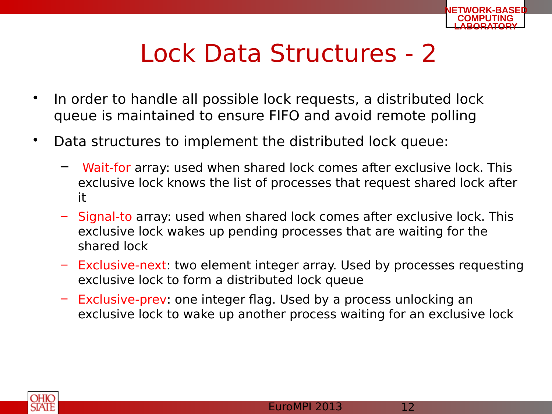

### Lock Data Structures - 2

- In order to handle all possible lock requests, a distributed lock queue is maintained to ensure FIFO and avoid remote polling
- Data structures to implement the distributed lock queue:
	- Wait-for array: used when shared lock comes after exclusive lock. This exclusive lock knows the list of processes that request shared lock after it
	- Signal-to array: used when shared lock comes after exclusive lock. This exclusive lock wakes up pending processes that are waiting for the shared lock
	- Exclusive-next: two element integer array. Used by processes requesting exclusive lock to form a distributed lock queue
	- Exclusive-prev: one integer flag. Used by a process unlocking an exclusive lock to wake up another process waiting for an exclusive lock

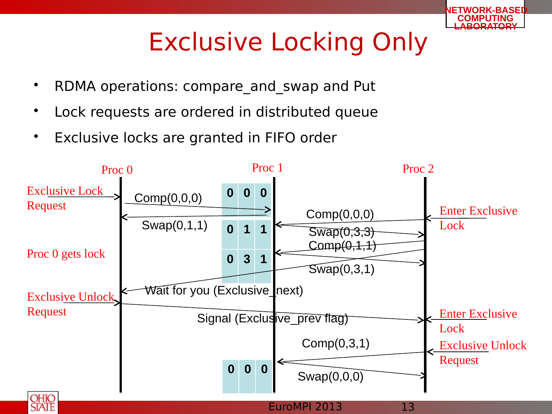

## Exclusive Locking Only

- RDMA operations: compare\_and\_swap and Put
- Lock requests are ordered in distributed queue
- Exclusive locks are granted in FIFO order

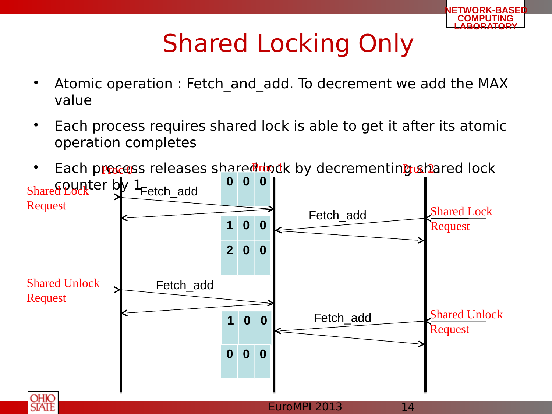

## Shared Locking Only

- Atomic operation : Fetch\_and\_add. To decrement we add the MAX value
- Each process requires shared lock is able to get it after its atomic operation completes
- Each process releases share thou they decrementing othered lock



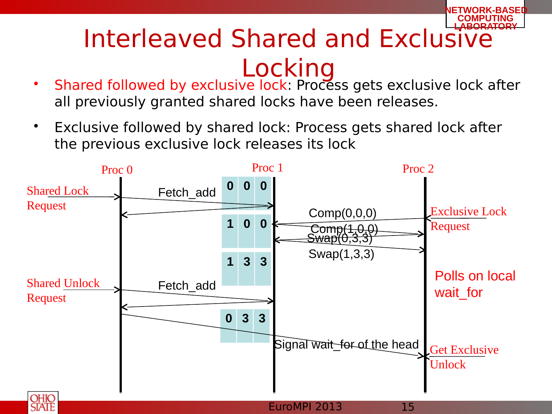#### **COMPUTING Interleaved Shared and Exclusive** Locking

**NETWORK-BASED**

- Shared followed by exclusive lock: Process gets exclusive lock after all previously granted shared locks have been releases.
- Exclusive followed by shared lock: Process gets shared lock after the previous exclusive lock releases its lock

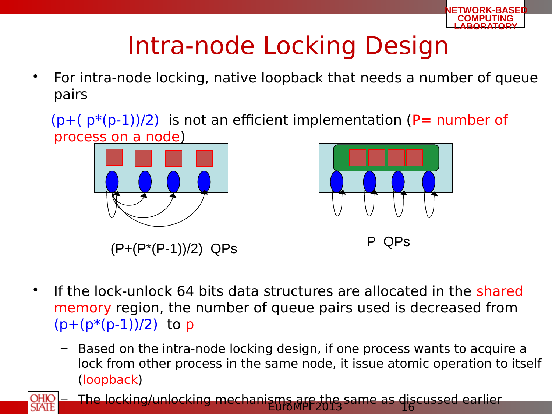

## Intra-node Locking Design

- For intra-node locking, native loopback that needs a number of queue pairs
	- $(p+(p*(p-1))/2)$  is not an efficient implementation (P= number of process on a node)





 $(P+(P*(P-1))/2)$  QPs P QPs

- If the lock-unlock 64 bits data structures are allocated in the shared memory region, the number of queue pairs used is decreased from  $(p+(p*(p-1))/2)$  to p
	- Based on the intra-node locking design, if one process wants to acquire a lock from other process in the same node, it issue atomic operation to itself (loopback)



 $E$ uroMP $P$ 2013  $S$ urice as  $16$ – The locking/unlocking mechanisms are the same as discussed earlier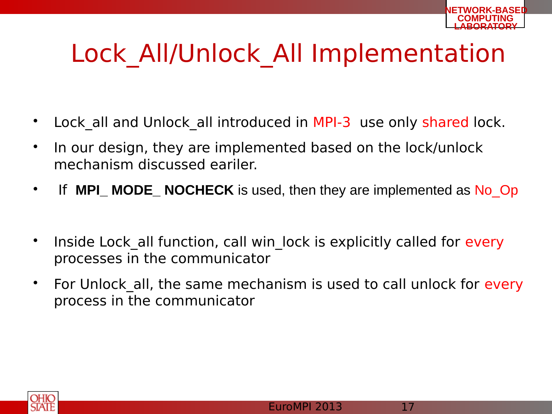## Lock All/Unlock All Implementation

- Lock all and Unlock all introduced in MPI-3 use only shared lock.
- In our design, they are implemented based on the lock/unlock mechanism discussed eariler.
- If MPI\_MODE\_NOCHECK is used, then they are implemented as No\_Op
- Inside Lock all function, call win lock is explicitly called for every processes in the communicator
- For Unlock all, the same mechanism is used to call unlock for every process in the communicator

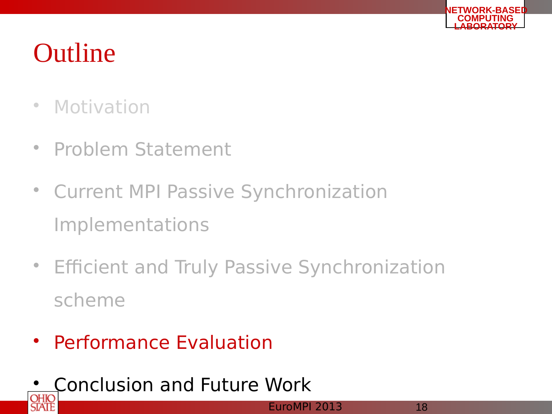

- Motivation
- Problem Statement
- Current MPI Passive Synchronization Implementations
- Efficient and Truly Passive Synchronization scheme
- Performance Evaluation
- Conclusion and Future Work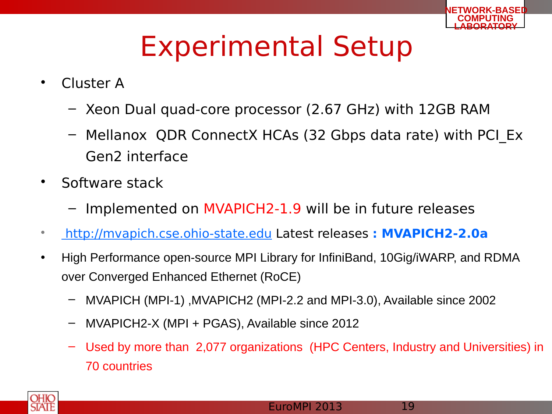

## Experimental Setup

- Cluster A
	- Xeon Dual quad-core processor (2.67 GHz) with 12GB RAM
	- Mellanox QDR ConnectX HCAs (32 Gbps data rate) with PCI\_Ex Gen2 interface
- Software stack
	- Implemented on MVAPICH2-1.9 will be in future releases
- [http://mvapich.cse.ohio-state.edu](http://mvapich.cse.ohio-state.edu/) Latest releases **: MVAPICH2-2.0a**
- High Performance open-source MPI Library for InfiniBand, 10Gig/iWARP, and RDMA over Converged Enhanced Ethernet (RoCE)
	- MVAPICH (MPI-1) ,MVAPICH2 (MPI-2.2 and MPI-3.0), Available since 2002
	- MVAPICH2-X (MPI + PGAS), Available since 2012
	- Used by more than 2,077 organizations (HPC Centers, Industry and Universities) in 70 countries

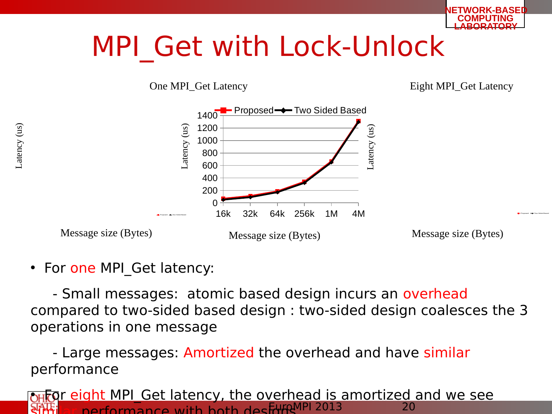

## MPI\_Get with Lock-Unlock

One MPI\_Get Latency entering the Eight MPI\_Get Latency



• For one MPI\_Get latency:

 - Small messages: atomic based design incurs an overhead compared to two-sided based design : two-sided design coalesces the 3 operations in one message

- Large messages: Amortized the overhead and have similar performance

 $\frac{1}{20}$  ar performance with both designal  $\frac{1}{20}$ **OHFOL EIGHT MPL Get latency, the overhead is amortized and we see**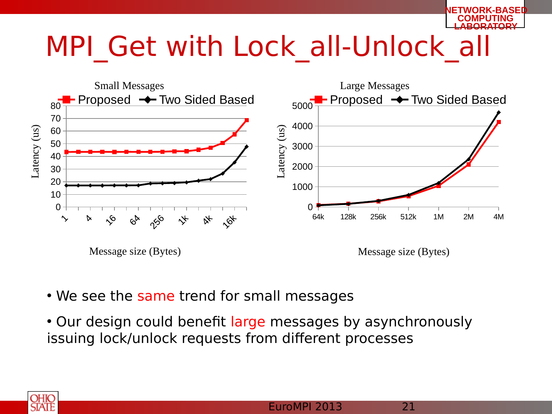

## MPI Get with Lock all-Unlock all



- We see the same trend for small messages
- Our design could benefit large messages by asynchronously issuing lock/unlock requests from different processes

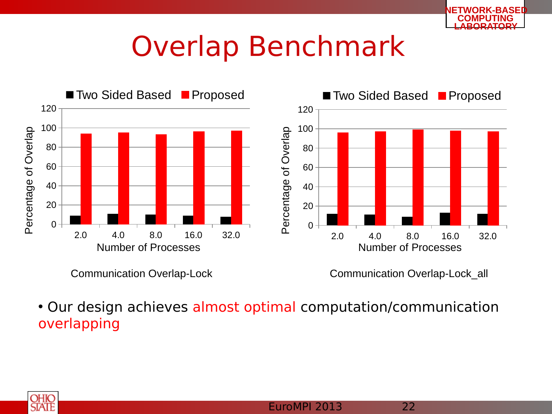

## Overlap Benchmark



Communication Overlap-Lock

Communication Overlap-Lock\_all

• Our design achieves almost optimal computation/communication overlapping

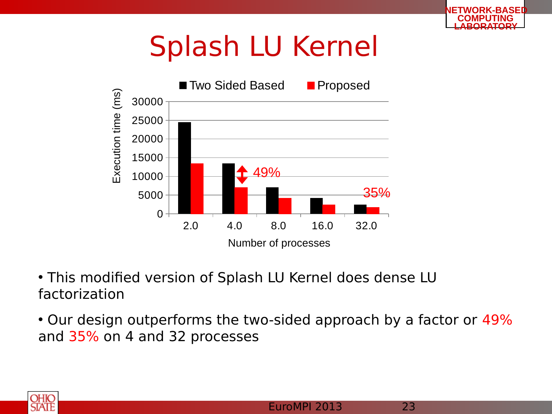## Splash LU Kernel



- This modified version of Splash LU Kernel does dense LU factorization
- Our design outperforms the two-sided approach by a factor or 49% and 35% on 4 and 32 processes



**NETWORK-BASED**

**COMPUTING LABORATORY**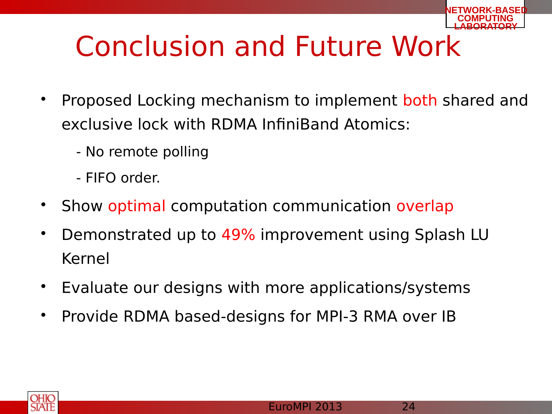

## Conclusion and Future Work

- Proposed Locking mechanism to implement both shared and exclusive lock with RDMA InfiniBand Atomics:
	- No remote polling
	- FIFO order.
- Show optimal computation communication overlap
- Demonstrated up to 49% improvement using Splash LU Kernel
- Evaluate our designs with more applications/systems
- Provide RDMA based-designs for MPI-3 RMA over IB